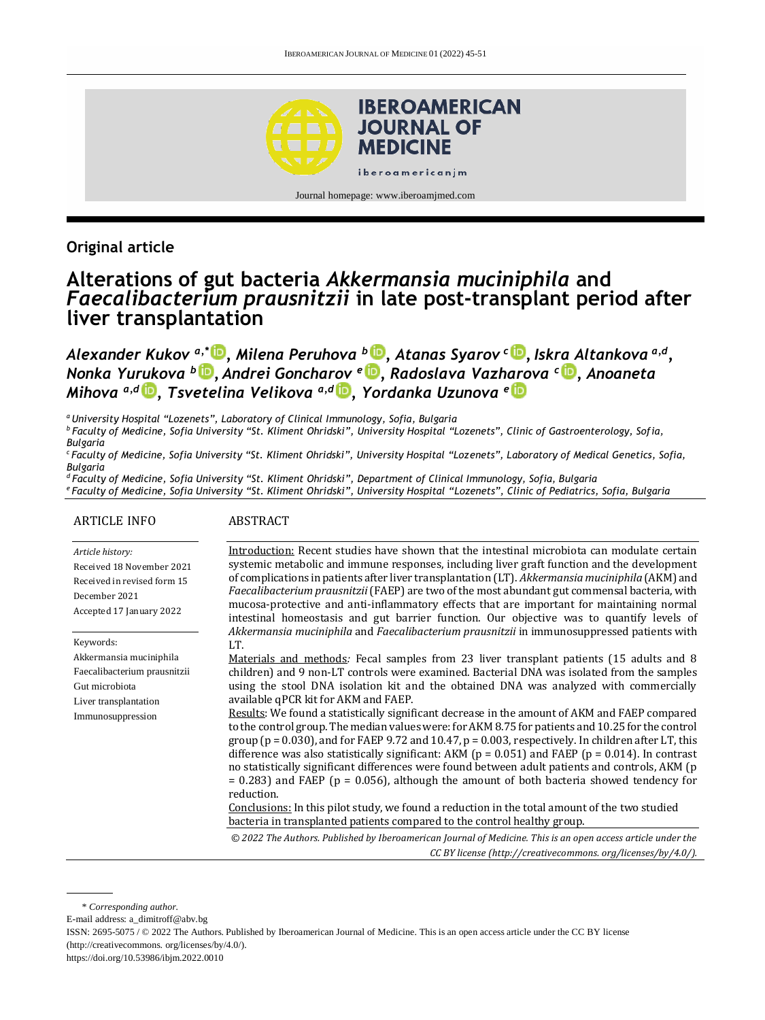

Journal homepage[: www.iberoamjmed.com](file:///C:/Users/EDUARDO/Desktop/REVISTA/Iberoamerican%20Journal%20of%20Medicine/Issues/Formato%20artículos/Bilingüe/www.iberoamjmed.com)

## **Original article**

# **Alterations of gut bacteria** *Akkermansia muciniphila* **and**  *Faecalibacterium prausnitzii* **in late post-transplant period after liver transplantation**

*Alexander Kukov a,\* [,](http://orcid.org/0000-0002-2019-6202) Milena Peruhova <sup>b</sup> [,](http://orcid.org/0000-0002-6618-2324) Atanas Syarov <sup>c</sup> [,](http://orcid.org/0000-0001-5469-9222) Iskra Altankova a,d , Nonka Yurukova <sup>b</sup> [,](http://orcid.org/0000-0002-5114-1466) Andrei Goncharov <sup>e</sup> [,](http://orcid.org/0000-0002-4850-9004) Radoslava Vazharova <sup>c</sup> [,](http://orcid.org/0000-0002-0374-5046) Anoaneta Mihova a,d [,](http://orcid.org/0000-0002-7911-5147) Tsvetelina Velikova a,d [,](http://orcid.org/0000-0002-0593-1272) Yordanka Uzunova <sup>e</sup>*

*<sup>a</sup>University Hospital "Lozenets", Laboratory of Clinical Immunology, Sofia, Bulgaria*

*<sup>b</sup>Faculty of Medicine, Sofia University "St. Kliment Ohridski", University Hospital "Lozenets", Clinic of Gastroenterology, Sofia, Bulgaria*

*<sup>c</sup>Faculty of Medicine, Sofia University "St. Kliment Ohridski", University Hospital "Lozenets", Laboratory of Medical Genetics, Sofia, Bulgaria*

*<sup>d</sup>Faculty of Medicine, Sofia University "St. Kliment Ohridski", Department of Clinical Immunology, Sofia, Bulgaria <sup>e</sup>Faculty of Medicine, Sofia University "St. Kliment Ohridski", University Hospital "Lozenets", Clinic of Pediatrics, Sofia, Bulgaria*

#### ARTICLE INFO

#### ABSTRACT

#### *Article history:*

Received 18 November 2021 Received in revised form 15 December 2021 Accepted 17 January 2022

Keywords: Akkermansia muciniphila Faecalibacterium prausnitzii Gut microbiota Liver transplantation Immunosuppression

Introduction: Recent studies have shown that the intestinal microbiota can modulate certain systemic metabolic and immune responses, including liver graft function and the development of complications in patients after liver transplantation (LT). *Akkermansia muciniphila* (AKM) and *Faecalibacterium prausnitzii* (FAEP) are two of the most abundant gut commensal bacteria, with mucosa-protective and anti-inflammatory effects that are important for maintaining normal intestinal homeostasis and gut barrier function. Our objective was to quantify levels of *Akkermansia muciniphila* and *Faecalibacterium prausnitzii* in immunosuppressed patients with LT.

Materials and methods*:* Fecal samples from 23 liver transplant patients (15 adults and 8 children) and 9 non-LT controls were examined. Bacterial DNA was isolated from the samples using the stool DNA isolation kit and the obtained DNA was analyzed with commercially available qPCR kit for AKM and FAEP.

Results: We found a statistically significant decrease in the amount of AKM and FAEP compared to the control group. The median values were: for AKM 8.75 for patients and 10.25 for the control group ( $p = 0.030$ ), and for FAEP 9.72 and 10.47,  $p = 0.003$ , respectively. In children after LT, this difference was also statistically significant: AKM ( $p = 0.051$ ) and FAEP ( $p = 0.014$ ). In contrast no statistically significant differences were found between adult patients and controls, AKM (p  $= 0.283$ ) and FAEP ( $p = 0.056$ ), although the amount of both bacteria showed tendency for reduction.

Conclusions: In this pilot study, we found a reduction in the total amount of the two studied bacteria in transplanted patients compared to the control healthy group.

*© 2022 The Authors. Published by Iberoamerican Journal of Medicine. This is an open access article under the CC BY license (http:/[/creativecommons. org/licenses/by/4.0/\)](https://creativecommons.org/licenses/by/4.0/).*

\* *Corresponding author.*

E-mail address[: a\\_dimitroff@abv.bg](mailto:a_dimitroff@abv.bg)

ISSN: 2695-5075 / © 2022 The Authors. Published by Iberoamerican Journal of Medicine. This is an open access article under the CC BY license (http:/[/creativecommons. org/licenses/by/4.0/\)](https://creativecommons.org/licenses/by/4.0/).

<https://doi.org/10.53986/ibjm.2022.0010>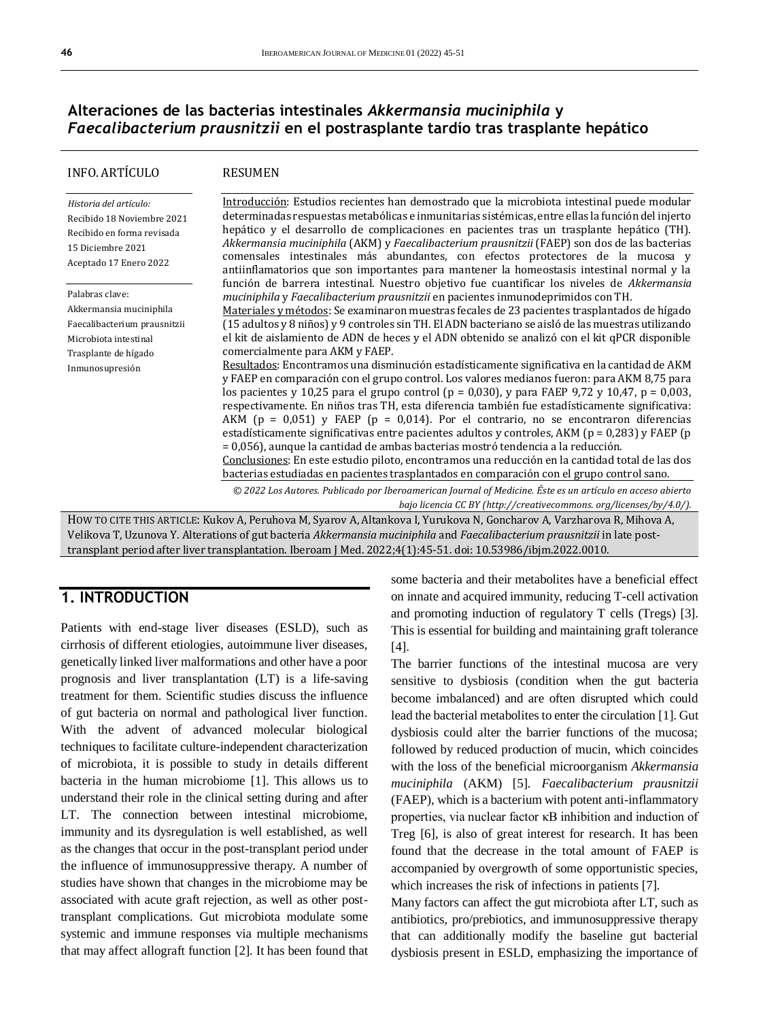## **Alteraciones de las bacterias intestinales** *Akkermansia muciniphila* **y**  *Faecalibacterium prausnitzii* **en el postrasplante tardío tras trasplante hepático**

| INFO. ARTÍCULO                                                                                                                                 | <b>RESUMEN</b>                                                                                                                                                                                                                                                                                                                                                                                                                                                                                                                                                                                                                                                                                                                                                                                                                                                                                                                                                                                                                                                                                                                                                                                                                                                                                                                                                                                                                         |
|------------------------------------------------------------------------------------------------------------------------------------------------|----------------------------------------------------------------------------------------------------------------------------------------------------------------------------------------------------------------------------------------------------------------------------------------------------------------------------------------------------------------------------------------------------------------------------------------------------------------------------------------------------------------------------------------------------------------------------------------------------------------------------------------------------------------------------------------------------------------------------------------------------------------------------------------------------------------------------------------------------------------------------------------------------------------------------------------------------------------------------------------------------------------------------------------------------------------------------------------------------------------------------------------------------------------------------------------------------------------------------------------------------------------------------------------------------------------------------------------------------------------------------------------------------------------------------------------|
| Historia del artículo:<br>Recibido 18 Noviembre 2021<br>Recibido en forma revisada<br>15 Diciembre 2021<br>Aceptado 17 Enero 2022              | Introducción: Estudios recientes han demostrado que la microbiota intestinal puede modular<br>determinadas respuestas metabólicas e inmunitarias sistémicas, entre ellas la función del injerto<br>hepático y el desarrollo de complicaciones en pacientes tras un trasplante hepático (TH).<br>Akkermansia muciniphila (AKM) y Faecalibacterium prausnitzii (FAEP) son dos de las bacterias<br>comensales intestinales más abundantes, con efectos protectores de la mucosa y<br>antiinflamatorios que son importantes para mantener la homeostasis intestinal normal y la<br>función de barrera intestinal. Nuestro objetivo fue cuantificar los niveles de Akkermansia                                                                                                                                                                                                                                                                                                                                                                                                                                                                                                                                                                                                                                                                                                                                                              |
| Palabras clave:<br>Akkermansia muciniphila<br>Faecalibacterium prausnitzii<br>Microbiota intestinal<br>Trasplante de hígado<br>Inmunosupresión | muciniphila y Faecalibacterium prausnitzii en pacientes inmunodeprimidos con TH.<br>Materiales y métodos: Se examinaron muestras fecales de 23 pacientes trasplantados de hígado<br>(15 adultos y 8 niños) y 9 controles sin TH. El ADN bacteriano se aisló de las muestras utilizando<br>el kit de aislamiento de ADN de heces y el ADN obtenido se analizó con el kit qPCR disponible<br>comercialmente para AKM y FAEP.<br>Resultados: Encontramos una disminución estadísticamente significativa en la cantidad de AKM<br>y FAEP en comparación con el grupo control. Los valores medianos fueron: para AKM 8,75 para<br>los pacientes y 10,25 para el grupo control (p = 0,030), y para FAEP 9,72 y 10,47, p = 0,003,<br>respectivamente. En niños tras TH, esta diferencia también fue estadísticamente significativa:<br>AKM ( $p = 0.051$ ) y FAEP ( $p = 0.014$ ). Por el contrario, no se encontraron diferencias<br>estadísticamente significativas entre pacientes adultos y controles, AKM ( $p = 0.283$ ) y FAEP ( $p$<br>= 0,056), aunque la cantidad de ambas bacterias mostró tendencia a la reducción.<br>Conclusiones: En este estudio piloto, encontramos una reducción en la cantidad total de las dos<br>bacterias estudiadas en pacientes trasplantados en comparación con el grupo control sano.<br>© 2022 Los Autores. Publicado por Iberoamerican Journal of Medicine. Éste es un artículo en acceso abierto |
|                                                                                                                                                | bajo licencia CC BY (http://creativecommons. org/licenses/by/4.0/).                                                                                                                                                                                                                                                                                                                                                                                                                                                                                                                                                                                                                                                                                                                                                                                                                                                                                                                                                                                                                                                                                                                                                                                                                                                                                                                                                                    |

HOW TO CITE THIS ARTICLE: Kukov A, Peruhova M, Syarov A, Altankova I, Yurukova N, Goncharov A, Varzharova R, Mihova A, Velikova T, Uzunova Y. Alterations of gut bacteria *Akkermansia muciniphila* and *Faecalibacterium prausnitzii* in late posttransplant period after liver transplantation. Iberoam J Med. 2022;4(1):45-51. doi[: 10.53986/ibjm.2022.0010.](https://doi.org/10.53986/ibjm.2022.0010)

### **1. INTRODUCTION**

Patients with end-stage liver diseases (ESLD), such as cirrhosis of different etiologies, autoimmune liver diseases, genetically linked liver malformations and other have a poor prognosis and liver transplantation (LT) is a life-saving treatment for them. Scientific studies discuss the influence of gut bacteria on normal and pathological liver function. With the advent of advanced molecular biological techniques to facilitate culture-independent characterization of microbiota, it is possible to study in details different bacteria in the human microbiome [1]. This allows us to understand their role in the clinical setting during and after LT. The connection between intestinal microbiome, immunity and its dysregulation is well established, as well as the changes that occur in the post-transplant period under the influence of immunosuppressive therapy. A number of studies have shown that changes in the microbiome may be associated with acute graft rejection, as well as other posttransplant complications. Gut microbiota modulate some systemic and immune responses via multiple mechanisms that may affect allograft function [2]. It has been found that

some bacteria and their metabolites have a beneficial effect on innate and acquired immunity, reducing T-cell activation and promoting induction of regulatory T cells (Tregs) [3]. This is essential for building and maintaining graft tolerance [4].

The barrier functions of the intestinal mucosa are very sensitive to dysbiosis (condition when the gut bacteria become imbalanced) and are often disrupted which could lead the bacterial metabolites to enter the circulation [1]. Gut dysbiosis could alter the barrier functions of the mucosa; followed by reduced production of mucin, which coincides with the loss of the beneficial microorganism *Akkermansia muciniphila* (AKM) [5]. *Faecalibacterium prausnitzii* (FAEP), which is a bacterium with potent anti-inflammatory properties, via nuclear factor κB inhibition and induction of Treg [6], is also of great interest for research. It has been found that the decrease in the total amount of FAEP is accompanied by overgrowth of some opportunistic species, which increases the risk of infections in patients [7].

Many factors can affect the gut microbiota after LT, such as antibiotics, pro/prebiotics, and immunosuppressive therapy that can additionally modify the baseline gut bacterial dysbiosis present in ESLD, emphasizing the importance of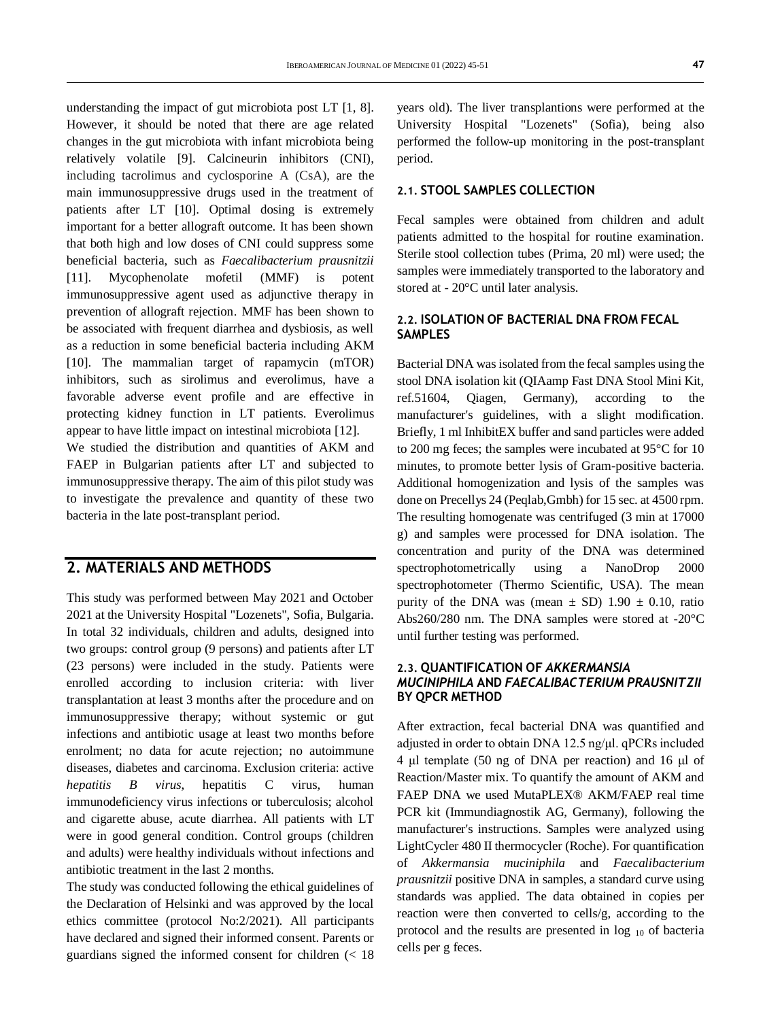understanding the impact of gut microbiota post LT [1, 8]. However, it should be noted that there are age related changes in the gut microbiota with infant microbiota being relatively volatile [9]. Calcineurin inhibitors (CNI), including tacrolimus and cyclosporine A (CsA), are the main immunosuppressive drugs used in the treatment of patients after LT [10]. Optimal dosing is extremely important for a better allograft outcome. It has been shown that both high and low doses of CNI could suppress some beneficial bacteria, such as *Faecalibacterium prausnitzii* [11]. Mycophenolate mofetil (MMF) is potent immunosuppressive agent used as adjunctive therapy in prevention of allograft rejection. MMF has been shown to be associated with frequent diarrhea and dysbiosis, as well as a reduction in some beneficial bacteria including AKM [10]. The mammalian target of rapamycin (mTOR) inhibitors, such as sirolimus and everolimus, have a favorable adverse event profile and are effective in protecting kidney function in LT patients. Everolimus appear to have little impact on intestinal microbiota [12].

We studied the distribution and quantities of AKM and FAEP in Bulgarian patients after LT and subjected to immunosuppressive therapy. The aim of this pilot study was to investigate the prevalence and quantity of these two bacteria in the late post-transplant period.

### **2. MATERIALS AND METHODS**

This study was performed between May 2021 and October 2021 at the University Hospital "Lozenets", Sofia, Bulgaria. In total 32 individuals, children and adults, designed into two groups: control group (9 persons) and patients after LT (23 persons) were included in the study. Patients were enrolled according to inclusion criteria: with liver transplantation at least 3 months after the procedure and on immunosuppressive therapy; without systemic or gut infections and antibiotic usage at least two months before enrolment; no data for acute rejection; no autoimmune diseases, diabetes and carcinoma. Exclusion criteria: active *hepatitis B virus*, hepatitis C virus, human immunodeficiency virus infections or tuberculosis; alcohol and cigarette abuse, acute diarrhea. All patients with LT were in good general condition. Control groups (children and adults) were healthy individuals without infections and antibiotic treatment in the last 2 months.

The study was conducted following the ethical guidelines of the Declaration of Helsinki and was approved by the local ethics committee (protocol No:2/2021). All participants have declared and signed their informed consent. Parents or guardians signed the informed consent for children (< 18 years old). The liver transplantions were performed at the University Hospital "Lozenets" (Sofia), being also performed the follow-up monitoring in the post-transplant period.

### **2.1. STOOL SAMPLES COLLECTION**

Fecal samples were obtained from children and adult patients admitted to the hospital for routine examination. Sterile stool collection tubes (Prima, 20 ml) were used; the samples were immediately transported to the laboratory and stored at - 20°C until later analysis.

#### **2.2. ISOLATION OF BACTERIAL DNA FROM FECAL SAMPLES**

Bacterial DNA was isolated from the fecal samples using the stool DNA isolation kit (QIAamp Fast DNA Stool Mini Kit, ref.51604, Qiagen, Germany), according to the manufacturer's guidelines, with a slight modification. Briefly, 1 ml InhibitEX buffer and sand particles were added to 200 mg feces; the samples were incubated at 95°C for 10 minutes, to promote better lysis of Gram-positive bacteria. Additional homogenization and lysis of the samples was done on Precellys 24 (Peqlab,Gmbh) for 15 sec. at 4500 rpm. The resulting homogenate was centrifuged (3 min at 17000 g) and samples were processed for DNA isolation. The concentration and purity of the DNA was determined spectrophotometrically using a NanoDrop 2000 spectrophotometer (Thermo Scientific, USA). The mean purity of the DNA was (mean  $\pm$  SD) 1.90  $\pm$  0.10, ratio Abs260/280 nm. The DNA samples were stored at -20°C until further testing was performed.

### **2.3. QUANTIFICATION OF** *AKKERMANSIA MUCINIPHILA* **AND** *FAECALIBACTERIUM PRAUSNITZII* **BY QPCR METHOD**

After extraction, fecal bacterial DNA was quantified and adjusted in order to obtain DNA 12.5 ng/μl. qPCRs included 4 μl template (50 ng of DNA per reaction) and 16 μl of Reaction/Master mix. To quantify the amount of AKM and FAEP DNA we used MutaPLEX® AKM/FAEP real time PCR kit (Immundiagnostik AG, Germany), following the manufacturer's instructions. Samples were analyzed using LightCycler 480 II thermocycler (Roche). For quantification of *Akkermansia muciniphila* and *Faecalibacterium prausnitzii* positive DNA in samples, a standard curve using standards was applied. The data obtained in copies per reaction were then converted to cells/g, according to the protocol and the results are presented in  $log_{10}$  of bacteria cells per g feces.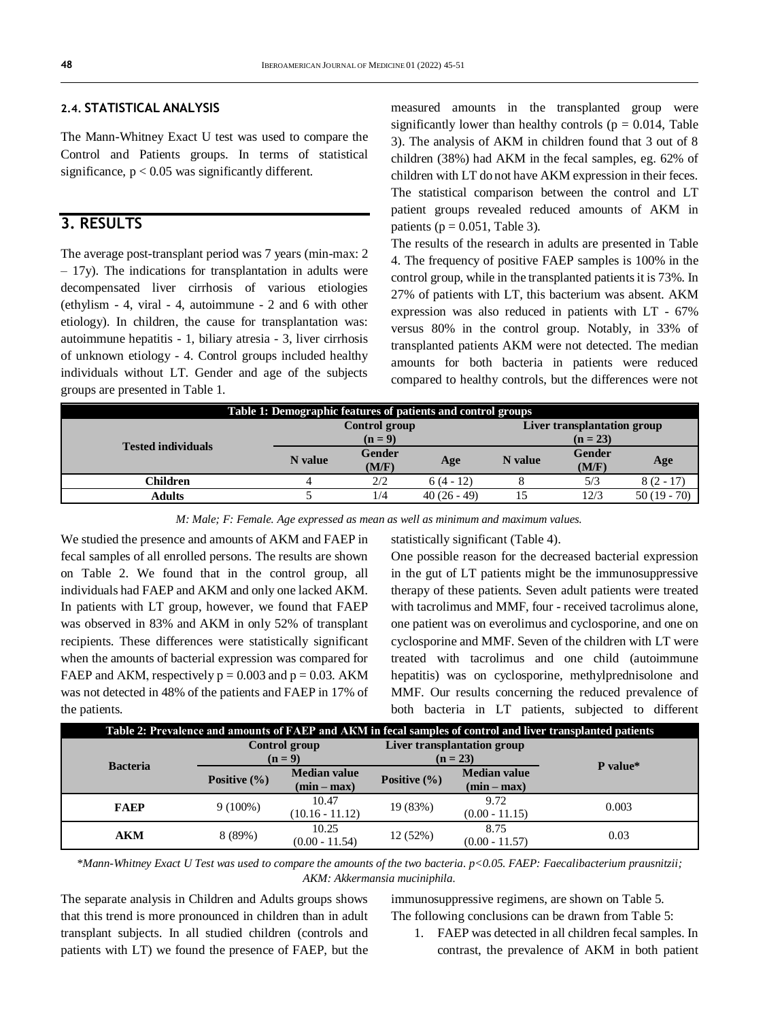#### **2.4. STATISTICAL ANALYSIS**

The Mann-Whitney Exact U test was used to compare the Control and Patients groups. In terms of statistical significance,  $p < 0.05$  was significantly different.

### **3. RESULTS**

The average post-transplant period was 7 years (min-max: 2  $-17y$ ). The indications for transplantation in adults were decompensated liver cirrhosis of various etiologies (ethylism - 4, viral - 4, autoimmune - 2 and 6 with other etiology). In children, the cause for transplantation was: autoimmune hepatitis - 1, biliary atresia - 3, liver cirrhosis of unknown etiology - 4. Control groups included healthy individuals without LT. Gender and age of the subjects groups are presented in Table 1.

measured amounts in the transplanted group were significantly lower than healthy controls ( $p = 0.014$ , Table 3). The analysis of AKM in children found that 3 out of 8 children (38%) had AKM in the fecal samples, eg. 62% of children with LT do not have AKM expression in their feces. The statistical comparison between the control and LT patient groups revealed reduced amounts of AKM in patients ( $p = 0.051$ , Table 3).

The results of the research in adults are presented in Table 4. The frequency of positive FAEP samples is 100% in the control group, while in the transplanted patients it is 73%. In 27% of patients with LT, this bacterium was absent. AKM expression was also reduced in patients with LT - 67% versus 80% in the control group. Notably, in 33% of transplanted patients AKM were not detected. The median amounts for both bacteria in patients were reduced compared to healthy controls, but the differences were not

| Table 1: Demographic features of patients and control groups |               |                 |             |                             |                 |             |
|--------------------------------------------------------------|---------------|-----------------|-------------|-----------------------------|-----------------|-------------|
|                                                              | Control group |                 |             | Liver transplantation group |                 |             |
| <b>Tested individuals</b>                                    | $(n=9)$       |                 |             | $(n = 23)$                  |                 |             |
|                                                              | N value       | Gender<br>(M/F) | Age         | N value                     | Gender<br>(M/F) | Age         |
| <b>Children</b>                                              |               | 2/2             | $6(4-12)$   |                             | 5/3             | $8(2 - 17)$ |
| <b>Adults</b>                                                |               | 1/4             | $40(26-49)$ |                             | 12/3            | $50(19-70)$ |

*M: Male; F: Female. Age expressed as mean as well as minimum and maximum values.*

We studied the presence and amounts of AKM and FAEP in fecal samples of all enrolled persons. The results are shown on Table 2. We found that in the control group, all individuals had FAEP and AKM and only one lacked AKM. In patients with LT group, however, we found that FAEP was observed in 83% and AKM in only 52% of transplant recipients. These differences were statistically significant when the amounts of bacterial expression was compared for FAEP and AKM, respectively  $p = 0.003$  and  $p = 0.03$ . AKM was not detected in 48% of the patients and FAEP in 17% of the patients.

statistically significant (Table 4).

One possible reason for the decreased bacterial expression in the gut of LT patients might be the immunosuppressive therapy of these patients. Seven adult patients were treated with tacrolimus and MMF, four - received tacrolimus alone, one patient was on everolimus and cyclosporine, and one on cyclosporine and MMF. Seven of the children with LT were treated with tacrolimus and one child (autoimmune hepatitis) was on cyclosporine, methylprednisolone and MMF. Our results concerning the reduced prevalence of both bacteria in LT patients, subjected to different

| Table 2: Prevalence and amounts of FAEP and AKM in fecal samples of control and liver transplanted patients |                          |                                      |                                           |                                      |          |  |
|-------------------------------------------------------------------------------------------------------------|--------------------------|--------------------------------------|-------------------------------------------|--------------------------------------|----------|--|
| <b>Bacteria</b>                                                                                             | Control group<br>$(n=9)$ |                                      | Liver transplantation group<br>$(n = 23)$ |                                      | P value* |  |
|                                                                                                             | Positive $(\% )$         | <b>Median value</b><br>$(min - max)$ | Positive $(\% )$                          | <b>Median value</b><br>$(min - max)$ |          |  |
| <b>FAEP</b>                                                                                                 | $9(100\%)$               | 10.47<br>$(10.16 - 11.12)$           | 19 (83%)                                  | 9.72<br>$(0.00 - 11.15)$             | 0.003    |  |
| <b>AKM</b>                                                                                                  | 8(89%)                   | 10.25<br>$(0.00 - 11.54)$            | 12(52%)                                   | 8.75<br>$(0.00 - 11.57)$             | 0.03     |  |

*\*Mann-Whitney Exact U Test was used to compare the amounts of the two bacteria. p<0.05. FAEP: Faecalibacterium prausnitzii; AKM: Akkermansia muciniphila.*

The separate analysis in Children and Adults groups shows that this trend is more pronounced in children than in adult transplant subjects. In all studied children (controls and patients with LT) we found the presence of FAEP, but the

immunosuppressive regimens, are shown on Table 5. The following conclusions can be drawn from Table 5:

1. FAEP was detected in all children fecal samples. In contrast, the prevalence of AKM in both patient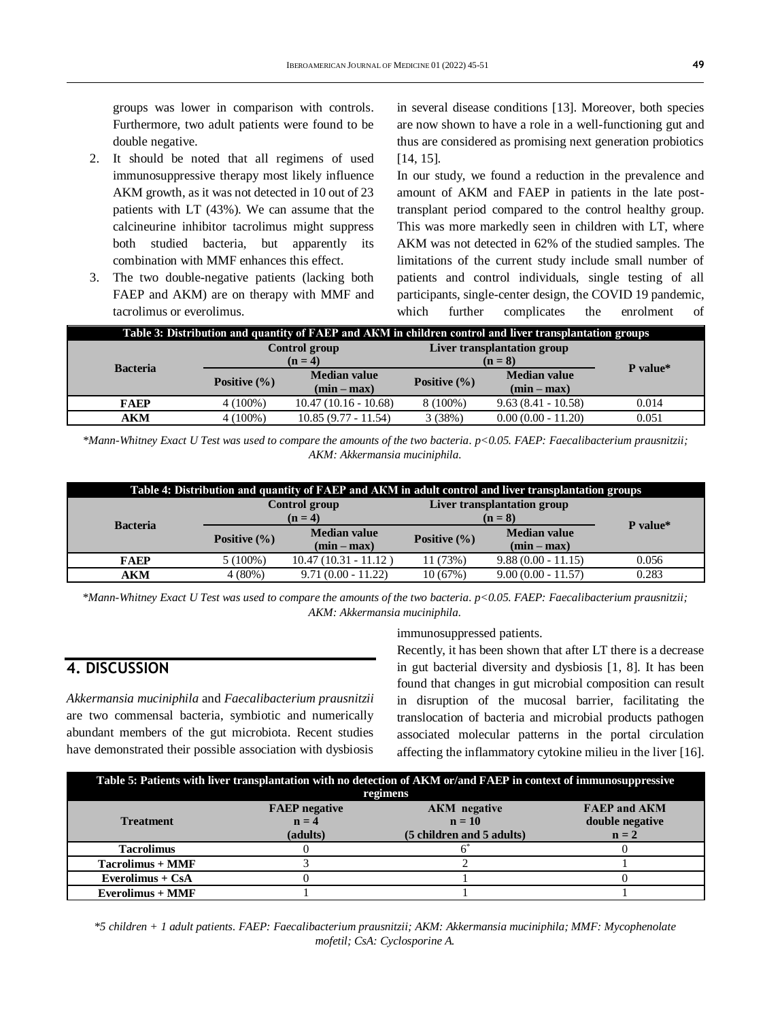groups was lower in comparison with controls. Furthermore, two adult patients were found to be double negative.

- 2. It should be noted that all regimens of used immunosuppressive therapy most likely influence AKM growth, as it was not detected in 10 out of 23 patients with LT (43%). We can assume that the calcineurine inhibitor tacrolimus might suppress both studied bacteria, but apparently its combination with MMF enhances this effect.
- 3. The two double-negative patients (lacking both FAEP and AKM) are on therapy with MMF and tacrolimus or everolimus.

in several disease conditions [13]. Moreover, both species are now shown to have a role in a well-functioning gut and thus are considered as promising next generation probiotics [14, 15].

In our study, we found a reduction in the prevalence and amount of AKM and FAEP in patients in the late posttransplant period compared to the control healthy group. This was more markedly seen in children with LT, where AKM was not detected in 62% of the studied samples. The limitations of the current study include small number of patients and control individuals, single testing of all participants, single-center design, the COVID 19 pandemic, which further complicates the enrolment of

| Table 3: Distribution and quantity of FAEP and AKM in children control and liver transplantation groups |                                 |                                      |                                        |                                      |          |
|---------------------------------------------------------------------------------------------------------|---------------------------------|--------------------------------------|----------------------------------------|--------------------------------------|----------|
|                                                                                                         | <b>Control group</b><br>$(n=4)$ |                                      | Liver transplantation group<br>$(n=8)$ |                                      |          |
| <b>Bacteria</b>                                                                                         | Positive $(\% )$                | <b>Median value</b><br>$(min - max)$ | Positive $(\% )$                       | <b>Median value</b><br>$(min - max)$ | P value* |
| <b>FAEP</b>                                                                                             | $4(100\%)$                      | $10.47(10.16 - 10.68)$               | $8(100\%)$                             | $9.63(8.41 - 10.58)$                 | 0.014    |
| AKM                                                                                                     | $4(100\%)$                      | $10.85(9.77 - 11.54)$                | 3(38%)                                 | $0.00(0.00 - 11.20)$                 | 0.051    |

*\*Mann-Whitney Exact U Test was used to compare the amounts of the two bacteria. p<0.05. FAEP: Faecalibacterium prausnitzii; AKM: Akkermansia muciniphila.*

| Table 4: Distribution and quantity of FAEP and AKM in adult control and liver transplantation groups |                          |                                      |                                        |                                      |          |
|------------------------------------------------------------------------------------------------------|--------------------------|--------------------------------------|----------------------------------------|--------------------------------------|----------|
|                                                                                                      | Control group<br>$(n=4)$ |                                      | Liver transplantation group<br>$(n=8)$ |                                      |          |
| <b>Bacteria</b>                                                                                      | Positive $(\% )$         | <b>Median value</b><br>$(min - max)$ | Positive $(\% )$                       | <b>Median value</b><br>$(min - max)$ | P value* |
| <b>FAEP</b>                                                                                          | $5(100\%)$               | $10.47(10.31 - 11.12)$               | 11 (73%)                               | $9.88(0.00 - 11.15)$                 | 0.056    |
| <b>AKM</b>                                                                                           | $4(80\%)$                | $9.71(0.00 - 11.22)$                 | 10(67%)                                | $9.00(0.00 - 11.57)$                 | 0.283    |

*\*Mann-Whitney Exact U Test was used to compare the amounts of the two bacteria. p<0.05. FAEP: Faecalibacterium prausnitzii; AKM: Akkermansia muciniphila.*

## **4. DISCUSSION**

*Akkermansia muciniphila* and *Faecalibacterium prausnitzii* are two commensal bacteria, symbiotic and numerically abundant members of the gut microbiota. Recent studies have demonstrated their possible association with dysbiosis immunosuppressed patients.

Recently, it has been shown that after LT there is a decrease in gut bacterial diversity and dysbiosis [1, 8]. It has been found that changes in gut microbial composition can result in disruption of the mucosal barrier, facilitating the translocation of bacteria and microbial products pathogen associated molecular patterns in the portal circulation affecting the inflammatory cytokine milieu in the liver [16].

| Table 5: Patients with liver transplantation with no detection of AKM or/and FAEP in context of immunosuppressive |                      |                           |                     |  |  |  |  |
|-------------------------------------------------------------------------------------------------------------------|----------------------|---------------------------|---------------------|--|--|--|--|
|                                                                                                                   | regimens             |                           |                     |  |  |  |  |
|                                                                                                                   | <b>FAEP</b> negative | <b>AKM</b> negative       | <b>FAEP and AKM</b> |  |  |  |  |
| <b>Treatment</b>                                                                                                  | $n = 4$              | $n = 10$                  | double negative     |  |  |  |  |
|                                                                                                                   | (adults)             | (5 children and 5 adults) | $n = 2$             |  |  |  |  |
| <b>Tacrolimus</b>                                                                                                 |                      |                           |                     |  |  |  |  |
| <b>Tacrolimus + MMF</b>                                                                                           |                      |                           |                     |  |  |  |  |
| Everolimus + $CsA$                                                                                                |                      |                           |                     |  |  |  |  |
| <b>Everolimus + MMF</b>                                                                                           |                      |                           |                     |  |  |  |  |

*\*5 children + 1 adult patients. FAEP: Faecalibacterium prausnitzii; AKM: Akkermansia muciniphila; MMF: Mycophenolate mofetil; CsA: Cyclosporine A.*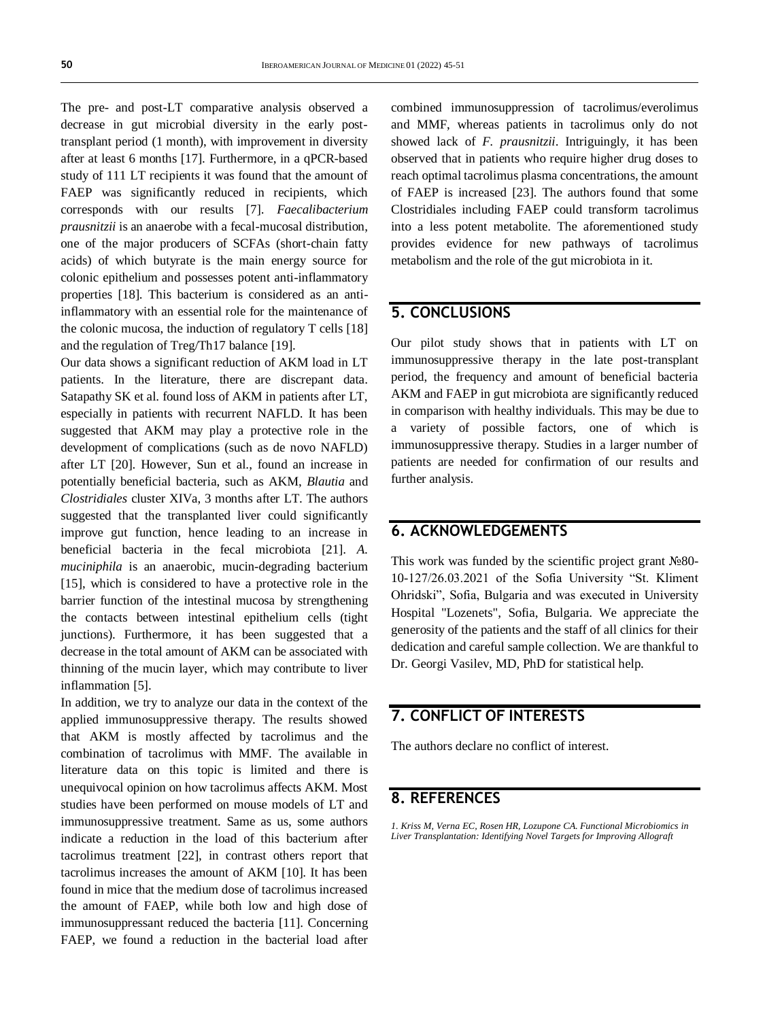The pre- and post-LT comparative analysis observed a decrease in gut microbial diversity in the early posttransplant period (1 month), with improvement in diversity after at least 6 months [17]. Furthermore, in a qPCR-based study of 111 LT recipients it was found that the amount of FAEP was significantly reduced in recipients, which corresponds with our results [7]. *Faecalibacterium prausnitzii* is an anaerobe with a fecal-mucosal distribution, one of the major producers of SCFAs (short-chain fatty acids) of which butyrate is the main energy source for colonic epithelium and possesses potent anti-inflammatory properties [18]. This bacterium is considered as an antiinflammatory with an essential role for the maintenance of the colonic mucosa, the induction of regulatory T cells [18] and the regulation of Treg/Th17 balance [19].

Our data shows a significant reduction of AKM load in LT patients. In the literature, there are discrepant data. Satapathy SK et al. found loss of AKM in patients after LT, especially in patients with recurrent NAFLD. It has been suggested that AKM may play a protective role in the development of complications (such as de novo NAFLD) after LT [20]. However, Sun et al., found an increase in potentially beneficial bacteria, such as AKM, *Blautia* and *Clostridiales* cluster XIVa, 3 months after LT. The authors suggested that the transplanted liver could significantly improve gut function, hence leading to an increase in beneficial bacteria in the fecal microbiota [21]. *A. muciniphila* is an anaerobic, mucin-degrading bacterium [15], which is considered to have a protective role in the barrier function of the intestinal mucosa by strengthening the contacts between intestinal epithelium cells (tight junctions). Furthermore, it has been suggested that a decrease in the total amount of AKM can be associated with thinning of the mucin layer, which may contribute to liver inflammation [5].

In addition, we try to analyze our data in the context of the applied immunosuppressive therapy. The results showed that AKM is mostly affected by tacrolimus and the combination of tacrolimus with MMF. The available in literature data on this topic is limited and there is unequivocal opinion on how tacrolimus affects AKM. Most studies have been performed on mouse models of LT and immunosuppressive treatment. Same as us, some authors indicate a reduction in the load of this bacterium after tacrolimus treatment [22], in contrast others report that tacrolimus increases the amount of AKM [10]. It has been found in mice that the medium dose of tacrolimus increased the amount of FAEP, while both low and high dose of immunosuppressant reduced the bacteria [11]. Concerning FAEP, we found a reduction in the bacterial load after combined immunosuppression of tacrolimus/everolimus and MMF, whereas patients in tacrolimus only do not showed lack of *F. prausnitzii*. Intriguingly, it has been observed that in patients who require higher drug doses to reach optimal tacrolimus plasma concentrations, the amount of FAEP is increased [23]. The authors found that some Clostridiales including FAEP could transform tacrolimus into a less potent metabolite. The aforementioned study provides evidence for new pathways of tacrolimus metabolism and the role of the gut microbiota in it.

### **5. CONCLUSIONS**

Our pilot study shows that in patients with LT on immunosuppressive therapy in the late post-transplant period, the frequency and amount of beneficial bacteria AKM and FAEP in gut microbiota are significantly reduced in comparison with healthy individuals. This may be due to a variety of possible factors, one of which is immunosuppressive therapy. Studies in a larger number of patients are needed for confirmation of our results and further analysis.

### **6. ACKNOWLEDGEMENTS**

This work was funded by the scientific project grant №80- 10-127/26.03.2021 of the Sofia University "St. Kliment Ohridski", Sofia, Bulgaria and was executed in University Hospital "Lozenets", Sofia, Bulgaria. We appreciate the generosity of the patients and the staff of all clinics for their dedication and careful sample collection. We are thankful to Dr. Georgi Vasilev, MD, PhD for statistical help.

### **7. CONFLICT OF INTERESTS**

The authors declare no conflict of interest.

### **8. REFERENCES**

*1. Kriss M, Verna EC, Rosen HR, Lozupone CA. Functional Microbiomics in Liver Transplantation: Identifying Novel Targets for Improving Allograft*